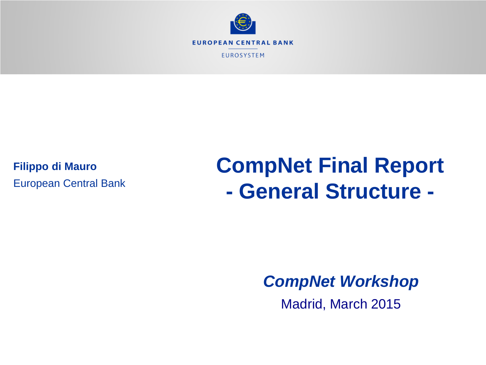

**Filippo di Mauro** European Central Bank

# **CompNet Final Report - General Structure -**

*CompNet Workshop*

Madrid, March 2015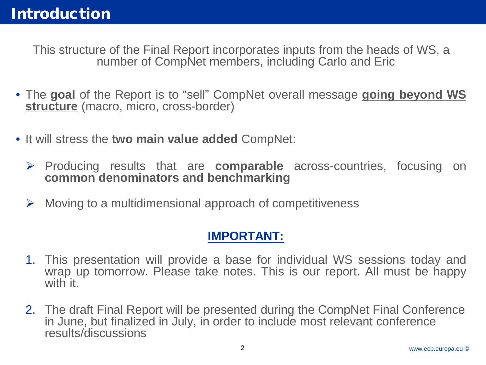This structure of the Final Report incorporates inputs from the heads of WS, a number of CompNet members, including Carlo and Eric

- The **goal** of the Report is to "sell" CompNet overall message **going beyond WS structure** (macro, micro, cross-border)
- It will stress the **two main value added** CompNet:
	- Producing results that are **comparable** across-countries, focusing on **common denominators and benchmarking**
	- $\triangleright$  Moving to a multidimensional approach of competitiveness

#### **IMPORTANT:**

- 1. This presentation will provide a base for individual WS sessions today and wrap up tomorrow. Please take notes. This is our report. All must be happy with it.
- 2. The draft Final Report will be presented during the CompNet Final Conference in June, but finalized in July, in order to include most relevant conference results/discussions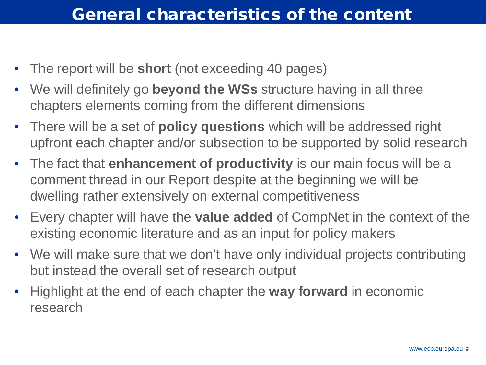#### General characteristics of the content

- The report will be **short** (not exceeding 40 pages)
- We will definitely go **beyond the WSs** structure having in all three chapters elements coming from the different dimensions
- There will be a set of **policy questions** which will be addressed right upfront each chapter and/or subsection to be supported by solid research
- The fact that **enhancement of productivity** is our main focus will be a comment thread in our Report despite at the beginning we will be dwelling rather extensively on external competitiveness
- Every chapter will have the **value added** of CompNet in the context of the existing economic literature and as an input for policy makers
- We will make sure that we don't have only individual projects contributing but instead the overall set of research output
- Highlight at the end of each chapter the **way forward** in economic research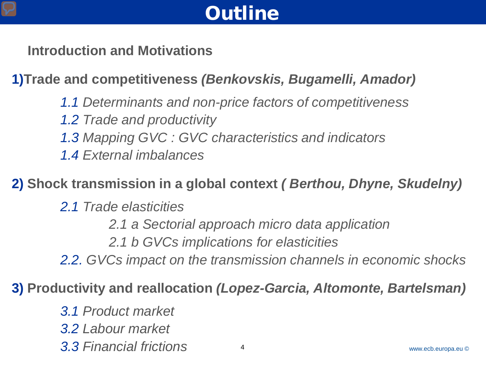# **Outline**

 **Introduction and Motivations**

**1)Trade and competitiveness** *(Benkovskis, Bugamelli, Amador)*

 *1.1 Determinants and non-price factors of competitiveness* 

- *1.2 Trade and productivity*
- *1.3 Mapping GVC : GVC characteristics and indicators*
- *1.4 External imbalances*

**2) Shock transmission in a global context** *( Berthou, Dhyne, Skudelny)*

- *2.1 Trade elasticities* 
	- *2.1 a Sectorial approach micro data application*
	- *2.1 b GVCs implications for elasticities*

*2.2. GVCs impact on the transmission channels in economic shocks*

**3) Productivity and reallocation** *(Lopez-Garcia, Altomonte, Bartelsman)*

*3.1 Product market* 

*3.2 Labour market*

*3.3 Financial frictions* <sup>4</sup>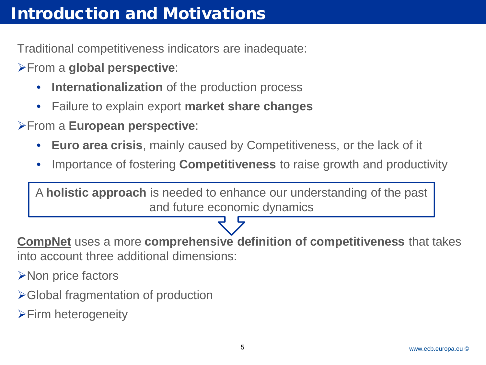Traditional competitiveness indicators are inadequate:

From a **global perspective**:

- **Internationalization** of the production process
- Failure to explain export **market share changes**

From a **European perspective**:

- **Euro area crisis**, mainly caused by Competitiveness, or the lack of it
- Importance of fostering **Competitiveness** to raise growth and productivity

A **holistic approach** is needed to enhance our understanding of the past and future economic dynamics

**CompNet** uses a more **comprehensive definition of competitiveness** that takes into account three additional dimensions:

**≻Non price factors** 

- Global fragmentation of production
- **Firm heterogeneity**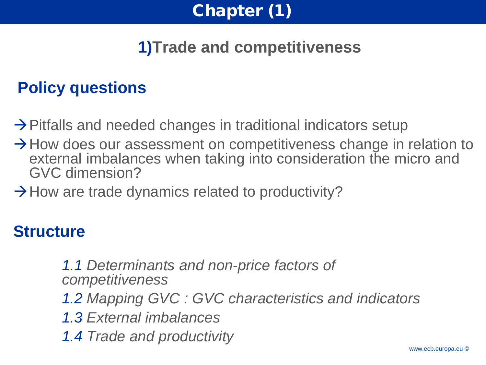

# **1)Trade and competitiveness**

## **Policy questions**

- $\rightarrow$  Pitfalls and needed changes in traditional indicators setup
- $\rightarrow$  How does our assessment on competitiveness change in relation to external imbalances when taking into consideration the micro and GVC dimension?
- $\rightarrow$  How are trade dynamics related to productivity?

#### **Structure**

 *1.1 Determinants and non-price factors of competitiveness* 

- *1.2 Mapping GVC : GVC characteristics and indicators*
- *1.3 External imbalances*
- *1.4 Trade and productivity*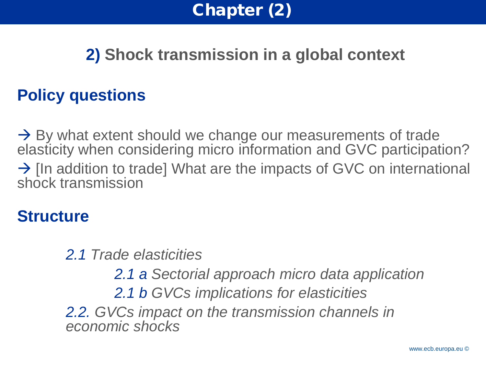

### **2) Shock transmission in a global context**

#### **Policy questions**

 $\rightarrow$  By what extent should we change our measurements of trade elasticity when considering micro information and GVC participation?  $\rightarrow$  [In addition to trade] What are the impacts of GVC on international shock transmission

#### **Structure**

*2.1 Trade elasticities*

*2.1 a Sectorial approach micro data application 2.1 b GVCs implications for elasticities 2.2. GVCs impact on the transmission channels in economic shocks*